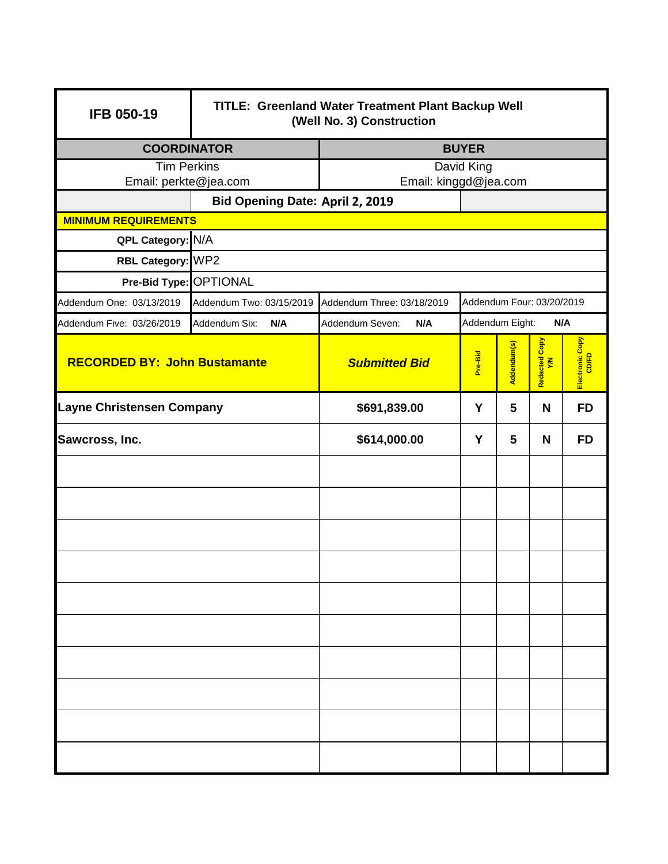| <b>IFB 050-19</b>                                        | <b>TITLE: Greenland Water Treatment Plant Backup Well</b><br>(Well No. 3) Construction |                                                  |         |             |                      |                          |  |
|----------------------------------------------------------|----------------------------------------------------------------------------------------|--------------------------------------------------|---------|-------------|----------------------|--------------------------|--|
| <b>COORDINATOR</b>                                       |                                                                                        | <b>BUYER</b>                                     |         |             |                      |                          |  |
| <b>Tim Perkins</b>                                       |                                                                                        | David King                                       |         |             |                      |                          |  |
| Email: perkte@jea.com<br>Bid Opening Date: April 2, 2019 |                                                                                        | Email: kinggd@jea.com                            |         |             |                      |                          |  |
| <b>MINIMUM REQUIREMENTS</b>                              |                                                                                        |                                                  |         |             |                      |                          |  |
| QPL Category: N/A                                        |                                                                                        |                                                  |         |             |                      |                          |  |
| RBL Category: WP2                                        |                                                                                        |                                                  |         |             |                      |                          |  |
| Pre-Bid Type: OPTIONAL                                   |                                                                                        |                                                  |         |             |                      |                          |  |
| Addendum One: 03/13/2019                                 | Addendum Two: 03/15/2019<br>Addendum Three: 03/18/2019<br>Addendum Four: 03/20/2019    |                                                  |         |             |                      |                          |  |
| Addendum Five: 03/26/2019                                | Addendum Six:<br>N/A                                                                   | Addendum Seven:<br>Addendum Eight:<br>N/A<br>N/A |         |             |                      |                          |  |
| <b>RECORDED BY: John Bustamante</b>                      |                                                                                        | <b>Submitted Bid</b>                             | Pre-Bid | Addendum(s) | Redacted Copy<br>Y/N | Electronic Copy<br>CD/FD |  |
| <b>Layne Christensen Company</b>                         |                                                                                        | \$691,839.00                                     | Y       | 5           | N                    | <b>FD</b>                |  |
| Sawcross, Inc.                                           |                                                                                        | \$614,000.00                                     | Y       | 5           | N                    | <b>FD</b>                |  |
|                                                          |                                                                                        |                                                  |         |             |                      |                          |  |
|                                                          |                                                                                        |                                                  |         |             |                      |                          |  |
|                                                          |                                                                                        |                                                  |         |             |                      |                          |  |
|                                                          |                                                                                        |                                                  |         |             |                      |                          |  |
|                                                          |                                                                                        |                                                  |         |             |                      |                          |  |
|                                                          |                                                                                        |                                                  |         |             |                      |                          |  |
|                                                          |                                                                                        |                                                  |         |             |                      |                          |  |
|                                                          |                                                                                        |                                                  |         |             |                      |                          |  |
|                                                          |                                                                                        |                                                  |         |             |                      |                          |  |
|                                                          |                                                                                        |                                                  |         |             |                      |                          |  |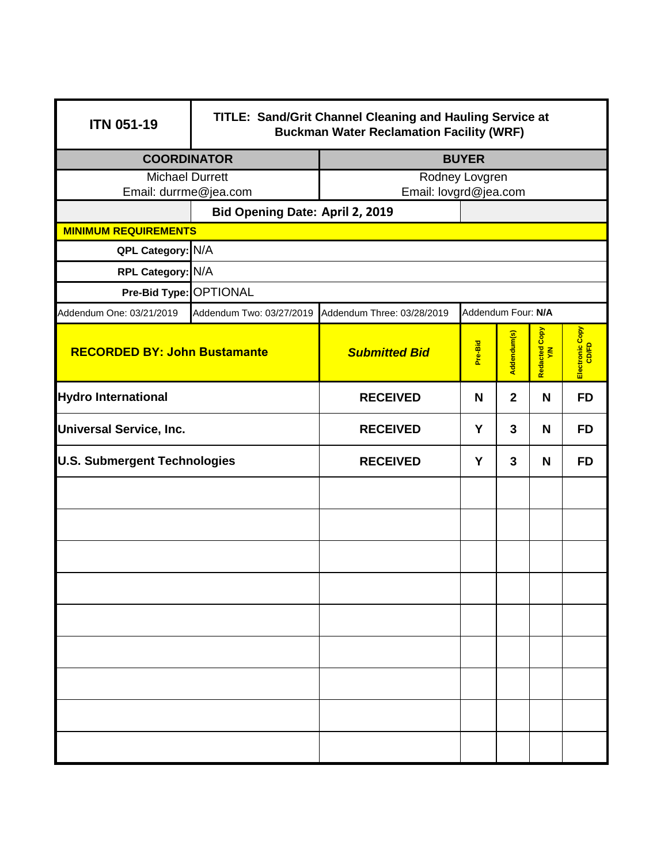| <b>ITN 051-19</b>                   | TITLE: Sand/Grit Channel Cleaning and Hauling Service at<br><b>Buckman Water Reclamation Facility (WRF)</b> |                                                     |         |                |                     |                          |  |
|-------------------------------------|-------------------------------------------------------------------------------------------------------------|-----------------------------------------------------|---------|----------------|---------------------|--------------------------|--|
| <b>COORDINATOR</b>                  |                                                                                                             | <b>BUYER</b>                                        |         |                |                     |                          |  |
| <b>Michael Durrett</b>              |                                                                                                             | Rodney Lovgren                                      |         |                |                     |                          |  |
| Email: durrme@jea.com               |                                                                                                             | Email: lovgrd@jea.com                               |         |                |                     |                          |  |
|                                     | Bid Opening Date: April 2, 2019                                                                             |                                                     |         |                |                     |                          |  |
| <b>MINIMUM REQUIREMENTS</b>         |                                                                                                             |                                                     |         |                |                     |                          |  |
|                                     | QPL Category: N/A                                                                                           |                                                     |         |                |                     |                          |  |
| RPL Category: N/A                   |                                                                                                             |                                                     |         |                |                     |                          |  |
|                                     | Pre-Bid Type: OPTIONAL<br>Addendum Four: N/A                                                                |                                                     |         |                |                     |                          |  |
| Addendum One: 03/21/2019            |                                                                                                             | Addendum Two: 03/27/2019 Addendum Three: 03/28/2019 |         |                |                     |                          |  |
| <b>RECORDED BY: John Bustamante</b> |                                                                                                             | <b>Submitted Bid</b>                                | Pre-Bid | Addendum(s)    | Redacted Copy<br>YM | Electronic Copy<br>CD/FD |  |
| <b>Hydro International</b>          |                                                                                                             | <b>RECEIVED</b>                                     | N       | $\overline{2}$ | N                   | <b>FD</b>                |  |
| <b>Universal Service, Inc.</b>      |                                                                                                             | <b>RECEIVED</b>                                     | Y       | 3              | N                   | <b>FD</b>                |  |
| <b>U.S. Submergent Technologies</b> |                                                                                                             | <b>RECEIVED</b>                                     | Y       | 3              | N                   | <b>FD</b>                |  |
|                                     |                                                                                                             |                                                     |         |                |                     |                          |  |
|                                     |                                                                                                             |                                                     |         |                |                     |                          |  |
|                                     |                                                                                                             |                                                     |         |                |                     |                          |  |
|                                     |                                                                                                             |                                                     |         |                |                     |                          |  |
|                                     |                                                                                                             |                                                     |         |                |                     |                          |  |
|                                     |                                                                                                             |                                                     |         |                |                     |                          |  |
|                                     |                                                                                                             |                                                     |         |                |                     |                          |  |
|                                     |                                                                                                             |                                                     |         |                |                     |                          |  |
|                                     |                                                                                                             |                                                     |         |                |                     |                          |  |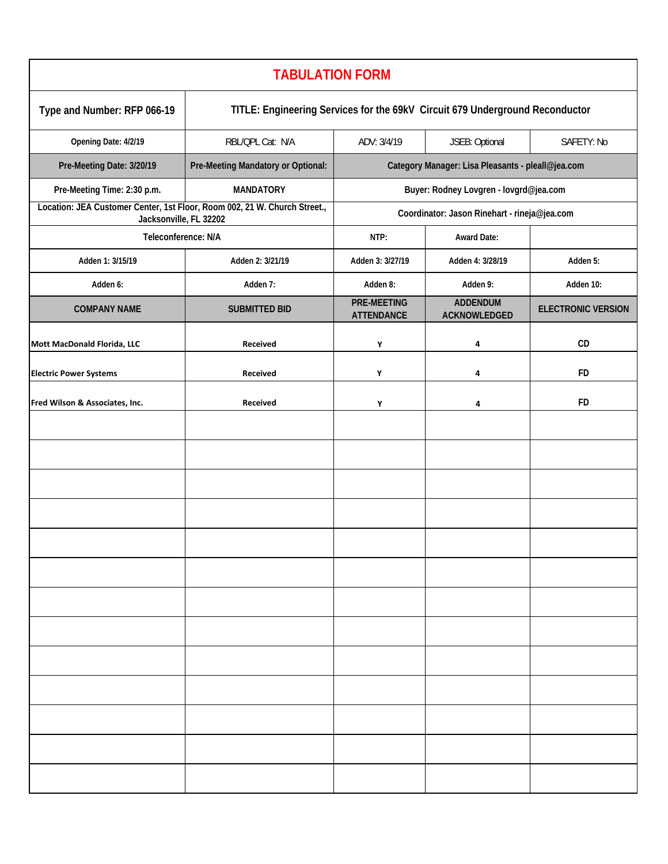| <b>TABULATION FORM</b>         |                                                                                                     |                                                   |                                                              |           |  |
|--------------------------------|-----------------------------------------------------------------------------------------------------|---------------------------------------------------|--------------------------------------------------------------|-----------|--|
| Type and Number: RFP 066-19    | TITLE: Engineering Services for the 69kV Circuit 679 Underground Reconductor                        |                                                   |                                                              |           |  |
| Opening Date: 4/2/19           | RBL/QPL Cat: N/A                                                                                    | JSEB: Optional<br>SAFETY: No<br>ADV: 3/4/19       |                                                              |           |  |
| Pre-Meeting Date: 3/20/19      | Pre-Meeting Mandatory or Optional:                                                                  | Category Manager: Lisa Pleasants - pleall@jea.com |                                                              |           |  |
| Pre-Meeting Time: 2:30 p.m.    | <b>MANDATORY</b>                                                                                    | Buyer: Rodney Lovgren - lovgrd@jea.com            |                                                              |           |  |
|                                | Location: JEA Customer Center, 1st Floor, Room 002, 21 W. Church Street.,<br>Jacksonville, FL 32202 |                                                   | Coordinator: Jason Rinehart - rineja@jea.com                 |           |  |
|                                | Teleconference: N/A                                                                                 |                                                   | <b>Award Date:</b>                                           |           |  |
| Adden 1: 3/15/19               | Adden 2: 3/21/19                                                                                    | Adden 3: 3/27/19                                  | Adden 4: 3/28/19                                             | Adden 5:  |  |
| Adden 6:                       | Adden 7:                                                                                            | Adden 8:                                          | Adden 9:                                                     | Adden 10: |  |
| <b>COMPANY NAME</b>            | <b>SUBMITTED BID</b>                                                                                | <b>PRE-MEETING</b><br><b>ATTENDANCE</b>           | <b>ADDENDUM</b><br><b>ELECTRONIC VERSION</b><br>ACKNOWLEDGED |           |  |
| Mott MacDonald Florida, LLC    | Received                                                                                            | Υ                                                 | 4                                                            | CD        |  |
| <b>Electric Power Systems</b>  | Received                                                                                            | Υ                                                 | 4                                                            | FD        |  |
| Fred Wilson & Associates, Inc. | Received                                                                                            | Υ                                                 | 4                                                            | FD        |  |
|                                |                                                                                                     |                                                   |                                                              |           |  |
|                                |                                                                                                     |                                                   |                                                              |           |  |
|                                |                                                                                                     |                                                   |                                                              |           |  |
|                                |                                                                                                     |                                                   |                                                              |           |  |
|                                |                                                                                                     |                                                   |                                                              |           |  |
|                                |                                                                                                     |                                                   |                                                              |           |  |
|                                |                                                                                                     |                                                   |                                                              |           |  |
|                                |                                                                                                     |                                                   |                                                              |           |  |
|                                |                                                                                                     |                                                   |                                                              |           |  |
|                                |                                                                                                     |                                                   |                                                              |           |  |
|                                |                                                                                                     |                                                   |                                                              |           |  |
|                                |                                                                                                     |                                                   |                                                              |           |  |
|                                |                                                                                                     |                                                   |                                                              |           |  |